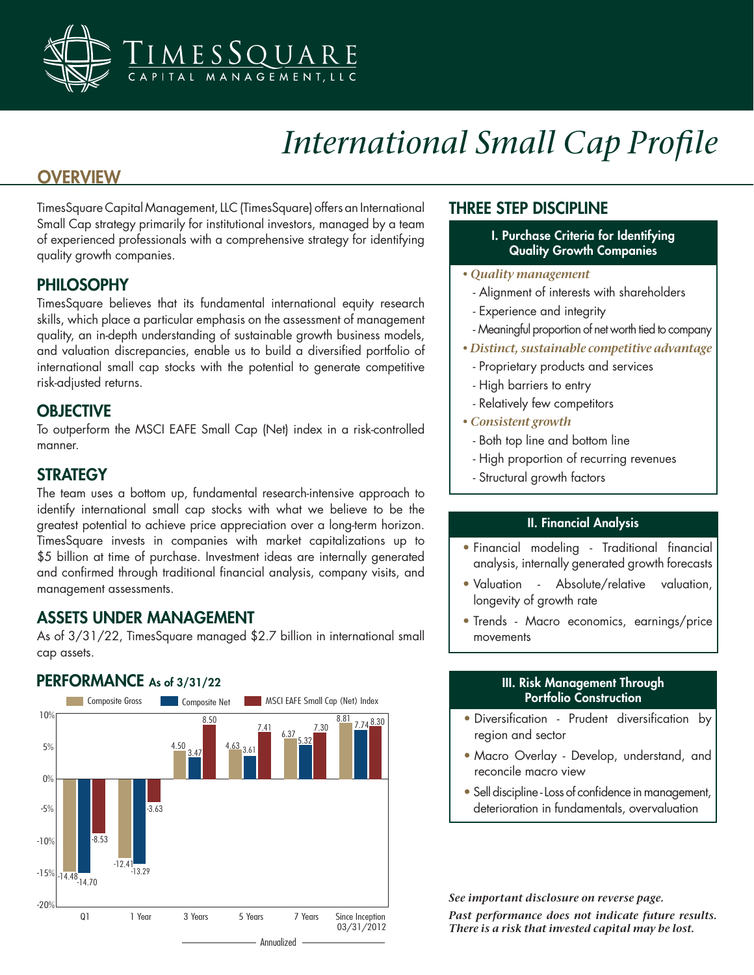

# *International Small Cap Profile*

### **OVERVIEW**

TimesSquare Capital Management, LLC (TimesSquare) offers an International Small Cap strategy primarily for institutional investors, managed by a team of experienced professionals with a comprehensive strategy for identifying quality growth companies.

#### PHILOSOPHY

TimesSquare believes that its fundamental international equity research skills, which place a particular emphasis on the assessment of management quality, an in-depth understanding of sustainable growth business models, and valuation discrepancies, enable us to build a diversified portfolio of international small cap stocks with the potential to generate competitive risk-adjusted returns.

#### **OBJECTIVE**

To outperform the MSCI EAFE Small Cap (Net) index in a risk-controlled manner.

#### **STRATEGY**

The team uses a bottom up, fundamental research-intensive approach to identify international small cap stocks with what we believe to be the greatest potential to achieve price appreciation over a long-term horizon. TimesSquare invests in companies with market capitalizations up to \$5 billion at time of purchase. Investment ideas are internally generated and confirmed through traditional financial analysis, company visits, and management assessments.

#### ASSETS UNDER MANAGEMENT

As of 3/31/22, TimesSquare managed \$2.7 billion in international small cap assets.

#### PERFORMANCE As of 3/31/22



#### THREE STEP DISCIPLINE

- I. Purchase Criteria for Identifying Quality Growth Companies
- *Quality management*
	- Alignment of interests with shareholders
	- Experience and integrity
	- Meaningful proportion of net worth tied to company
- *Distinct, sustainable competitive advantage*
	- Proprietary products and services
	- High barriers to entry
	- Relatively few competitors
- *Consistent growth*
	- Both top line and bottom line
	- High proportion of recurring revenues
	- Structural growth factors

#### II. Financial Analysis

- Financial modeling Traditional financial analysis, internally generated growth forecasts
- Valuation Absolute/relative valuation, longevity of growth rate
- Trends Macro economics, earnings/price movements

#### III. Risk Management Through Portfolio Construction

- Diversification Prudent diversification by region and sector
- Macro Overlay Develop, understand, and reconcile macro view
- Sell discipline Loss of confidence in management, deterioration in fundamentals, overvaluation

*See important disclosure on reverse page.*

*Past performance does not indicate future results. There is a risk that invested capital may be lost.*